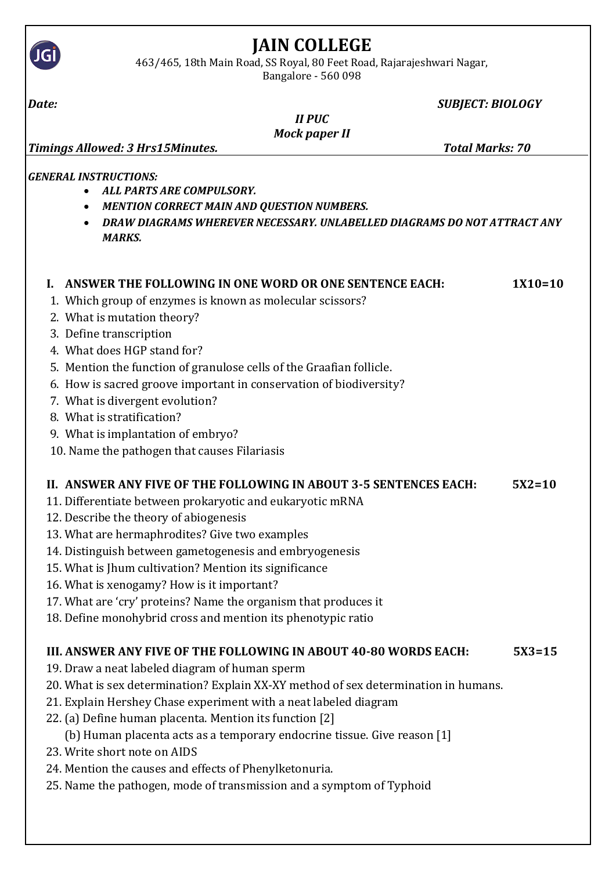| 4637465, T8th Main Road, SS Royal, 80 Feet Road, Rajarajeshwari Nagar,<br>Bangalore - 560 098                                                                                                                                   |            |
|---------------------------------------------------------------------------------------------------------------------------------------------------------------------------------------------------------------------------------|------------|
| <b>SUBJECT: BIOLOGY</b><br>Date:                                                                                                                                                                                                |            |
| <b>II PUC</b>                                                                                                                                                                                                                   |            |
| <b>Mock paper II</b><br><b>Total Marks: 70</b><br>Timings Allowed: 3 Hrs15Minutes.                                                                                                                                              |            |
|                                                                                                                                                                                                                                 |            |
| <b>GENERAL INSTRUCTIONS:</b><br><b>ALL PARTS ARE COMPULSORY.</b><br><b>MENTION CORRECT MAIN AND QUESTION NUMBERS.</b><br>$\bullet$<br>DRAW DIAGRAMS WHEREVER NECESSARY. UNLABELLED DIAGRAMS DO NOT ATTRACT ANY<br><b>MARKS.</b> |            |
| ANSWER THE FOLLOWING IN ONE WORD OR ONE SENTENCE EACH:                                                                                                                                                                          | $1X10=10$  |
| 1. Which group of enzymes is known as molecular scissors?                                                                                                                                                                       |            |
| 2. What is mutation theory?<br>3. Define transcription                                                                                                                                                                          |            |
| 4. What does HGP stand for?                                                                                                                                                                                                     |            |
| 5. Mention the function of granulose cells of the Graafian follicle.                                                                                                                                                            |            |
| 6. How is sacred groove important in conservation of biodiversity?                                                                                                                                                              |            |
| 7. What is divergent evolution?                                                                                                                                                                                                 |            |
| 8. What is stratification?                                                                                                                                                                                                      |            |
| 9. What is implantation of embryo?                                                                                                                                                                                              |            |
| 10. Name the pathogen that causes Filariasis                                                                                                                                                                                    |            |
| II. ANSWER ANY FIVE OF THE FOLLOWING IN ABOUT 3-5 SENTENCES EACH:                                                                                                                                                               | $5X2=10$   |
| 11. Differentiate between prokaryotic and eukaryotic mRNA                                                                                                                                                                       |            |
| 12. Describe the theory of abiogenesis                                                                                                                                                                                          |            |
| 13. What are hermaphrodites? Give two examples                                                                                                                                                                                  |            |
| 14. Distinguish between gametogenesis and embryogenesis                                                                                                                                                                         |            |
| 15. What is Jhum cultivation? Mention its significance                                                                                                                                                                          |            |
| 16. What is xenogamy? How is it important?                                                                                                                                                                                      |            |
| 17. What are 'cry' proteins? Name the organism that produces it                                                                                                                                                                 |            |
| 18. Define monohybrid cross and mention its phenotypic ratio                                                                                                                                                                    |            |
| III. ANSWER ANY FIVE OF THE FOLLOWING IN ABOUT 40-80 WORDS EACH:                                                                                                                                                                | $5X3 = 15$ |
| 19. Draw a neat labeled diagram of human sperm                                                                                                                                                                                  |            |
| 20. What is sex determination? Explain XX-XY method of sex determination in humans.                                                                                                                                             |            |
| 21. Explain Hershey Chase experiment with a neat labeled diagram                                                                                                                                                                |            |
| 22. (a) Define human placenta. Mention its function [2]                                                                                                                                                                         |            |
| (b) Human placenta acts as a temporary endocrine tissue. Give reason [1]                                                                                                                                                        |            |
| 23. Write short note on AIDS                                                                                                                                                                                                    |            |
| 24. Mention the causes and effects of Phenylketonuria.                                                                                                                                                                          |            |
| 25. Name the pathogen, mode of transmission and a symptom of Typhoid                                                                                                                                                            |            |

## **JAIN COLLEGE**

463/465, 18th Main Road, SS Royal, 80 Feet Road, Rajarajeshwari Nagar,

**JGİ**